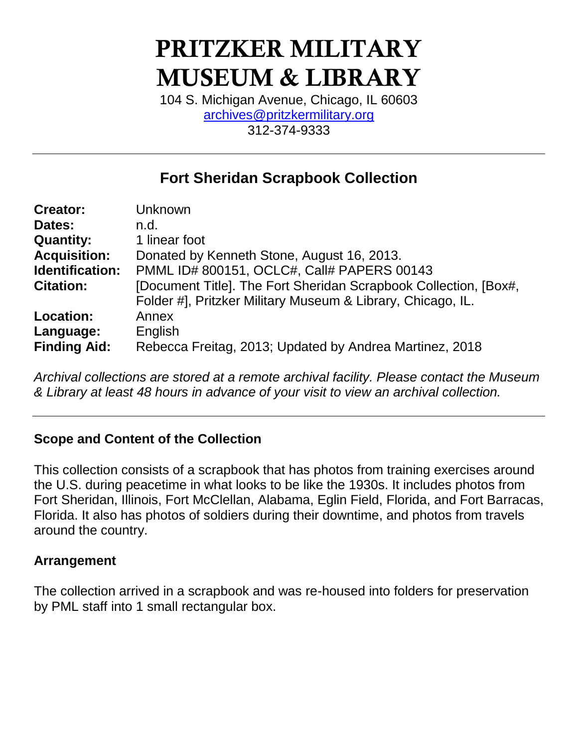# PRITZKER MILITARY MUSEUM & LIBRARY

104 S. Michigan Avenue, Chicago, IL 60603 [archives@pritzkermilitary.org](mailto:archives@pritzkermilitary.org) 312-374-9333

# **Fort Sheridan Scrapbook Collection**

| <b>Creator:</b>     | Unknown                                                          |  |  |
|---------------------|------------------------------------------------------------------|--|--|
| Dates:              | n.d.                                                             |  |  |
| <b>Quantity:</b>    | 1 linear foot                                                    |  |  |
| <b>Acquisition:</b> | Donated by Kenneth Stone, August 16, 2013.                       |  |  |
| Identification:     | PMML ID# 800151, OCLC#, Call# PAPERS 00143                       |  |  |
| <b>Citation:</b>    | [Document Title]. The Fort Sheridan Scrapbook Collection, [Box#, |  |  |
|                     | Folder #], Pritzker Military Museum & Library, Chicago, IL.      |  |  |
| Location:           | Annex                                                            |  |  |
| Language:           | English                                                          |  |  |
| <b>Finding Aid:</b> | Rebecca Freitag, 2013; Updated by Andrea Martinez, 2018          |  |  |

*Archival collections are stored at a remote archival facility. Please contact the Museum & Library at least 48 hours in advance of your visit to view an archival collection.*

### **Scope and Content of the Collection**

This collection consists of a scrapbook that has photos from training exercises around the U.S. during peacetime in what looks to be like the 1930s. It includes photos from Fort Sheridan, Illinois, Fort McClellan, Alabama, Eglin Field, Florida, and Fort Barracas, Florida. It also has photos of soldiers during their downtime, and photos from travels around the country.

### **Arrangement**

The collection arrived in a scrapbook and was re-housed into folders for preservation by PML staff into 1 small rectangular box.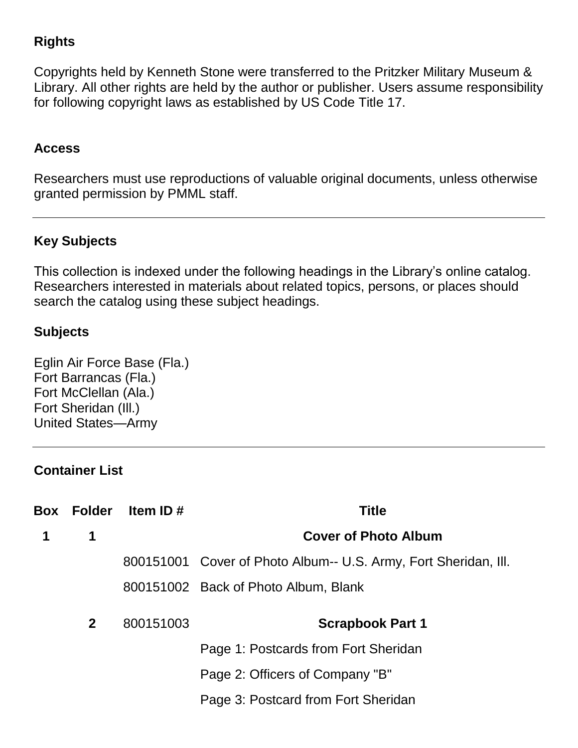## **Rights**

Copyrights held by Kenneth Stone were transferred to the Pritzker Military Museum & Library. All other rights are held by the author or publisher. Users assume responsibility for following copyright laws as established by US Code Title 17.

#### **Access**

Researchers must use reproductions of valuable original documents, unless otherwise granted permission by PMML staff.

## **Key Subjects**

This collection is indexed under the following headings in the Library's online catalog. Researchers interested in materials about related topics, persons, or places should search the catalog using these subject headings.

### **Subjects**

Eglin Air Force Base (Fla.) Fort Barrancas (Fla.) Fort McClellan (Ala.) Fort Sheridan (Ill.) United States—Army

#### **Container List**

| Box | Folder       | ltem ID # | <b>Title</b>                                                    |
|-----|--------------|-----------|-----------------------------------------------------------------|
| 1   | 1            |           | <b>Cover of Photo Album</b>                                     |
|     |              |           | 800151001 Cover of Photo Album-- U.S. Army, Fort Sheridan, Ill. |
|     |              |           | 800151002 Back of Photo Album, Blank                            |
|     | $\mathbf{2}$ | 800151003 | <b>Scrapbook Part 1</b>                                         |
|     |              |           | Page 1: Postcards from Fort Sheridan                            |
|     |              |           | Page 2: Officers of Company "B"                                 |
|     |              |           | Page 3: Postcard from Fort Sheridan                             |
|     |              |           |                                                                 |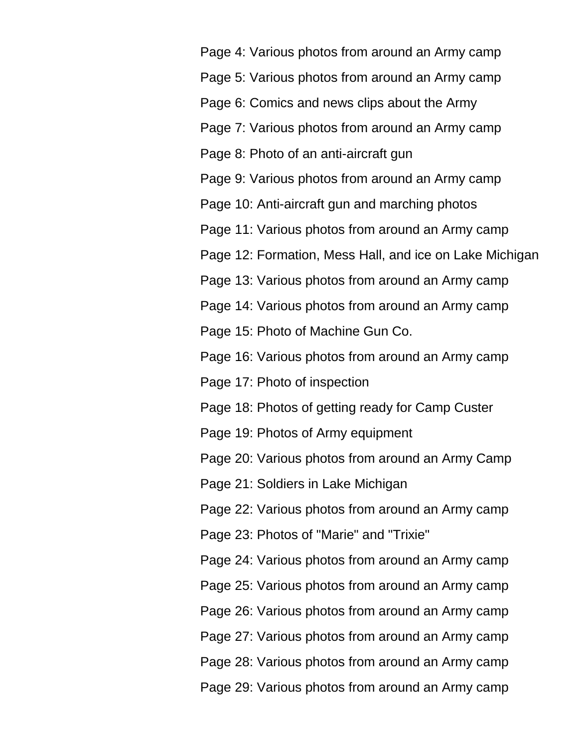Page 4: Various photos from around an Army camp Page 5: Various photos from around an Army camp Page 6: Comics and news clips about the Army

Page 7: Various photos from around an Army camp

Page 8: Photo of an anti-aircraft gun

Page 9: Various photos from around an Army camp

Page 10: Anti-aircraft gun and marching photos

Page 11: Various photos from around an Army camp

Page 12: Formation, Mess Hall, and ice on Lake Michigan

Page 13: Various photos from around an Army camp

Page 14: Various photos from around an Army camp

Page 15: Photo of Machine Gun Co.

Page 16: Various photos from around an Army camp

Page 17: Photo of inspection

Page 18: Photos of getting ready for Camp Custer

Page 19: Photos of Army equipment

Page 20: Various photos from around an Army Camp

Page 21: Soldiers in Lake Michigan

Page 22: Various photos from around an Army camp

Page 23: Photos of "Marie" and "Trixie"

Page 24: Various photos from around an Army camp Page 25: Various photos from around an Army camp Page 26: Various photos from around an Army camp Page 27: Various photos from around an Army camp Page 28: Various photos from around an Army camp Page 29: Various photos from around an Army camp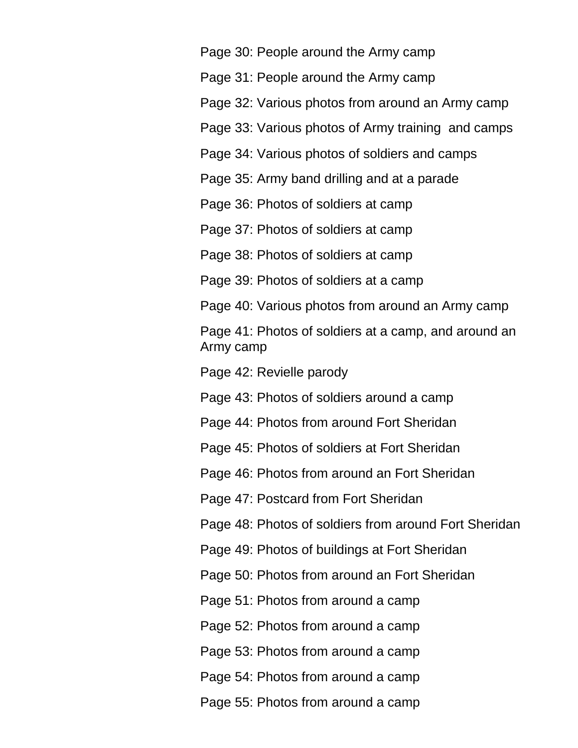Page 30: People around the Army camp

Page 31: People around the Army camp

Page 32: Various photos from around an Army camp

Page 33: Various photos of Army training and camps

Page 34: Various photos of soldiers and camps

Page 35: Army band drilling and at a parade

Page 36: Photos of soldiers at camp

Page 37: Photos of soldiers at camp

Page 38: Photos of soldiers at camp

Page 39: Photos of soldiers at a camp

Page 40: Various photos from around an Army camp

Page 41: Photos of soldiers at a camp, and around an Army camp

Page 42: Revielle parody

Page 43: Photos of soldiers around a camp

Page 44: Photos from around Fort Sheridan

Page 45: Photos of soldiers at Fort Sheridan

Page 46: Photos from around an Fort Sheridan

Page 47: Postcard from Fort Sheridan

Page 48: Photos of soldiers from around Fort Sheridan

Page 49: Photos of buildings at Fort Sheridan

Page 50: Photos from around an Fort Sheridan

Page 51: Photos from around a camp

Page 52: Photos from around a camp

Page 53: Photos from around a camp

Page 54: Photos from around a camp

Page 55: Photos from around a camp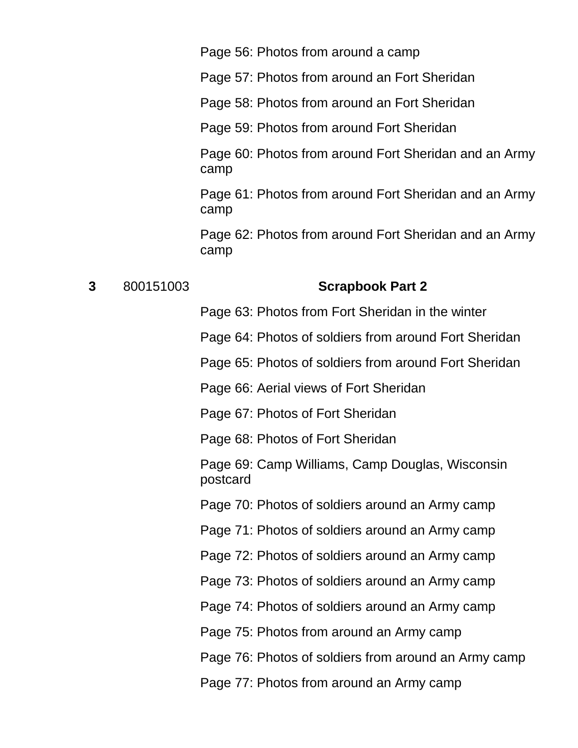Page 56: Photos from around a camp

Page 57: Photos from around an Fort Sheridan

Page 58: Photos from around an Fort Sheridan

Page 59: Photos from around Fort Sheridan

Page 60: Photos from around Fort Sheridan and an Army camp

Page 61: Photos from around Fort Sheridan and an Army camp

Page 62: Photos from around Fort Sheridan and an Army camp

#### **3** 800151003 **Scrapbook Part 2**

Page 63: Photos from Fort Sheridan in the winter

Page 64: Photos of soldiers from around Fort Sheridan

Page 65: Photos of soldiers from around Fort Sheridan

Page 66: Aerial views of Fort Sheridan

Page 67: Photos of Fort Sheridan

Page 68: Photos of Fort Sheridan

Page 69: Camp Williams, Camp Douglas, Wisconsin postcard

Page 70: Photos of soldiers around an Army camp

Page 71: Photos of soldiers around an Army camp

Page 72: Photos of soldiers around an Army camp

Page 73: Photos of soldiers around an Army camp

Page 74: Photos of soldiers around an Army camp

Page 75: Photos from around an Army camp

Page 76: Photos of soldiers from around an Army camp

Page 77: Photos from around an Army camp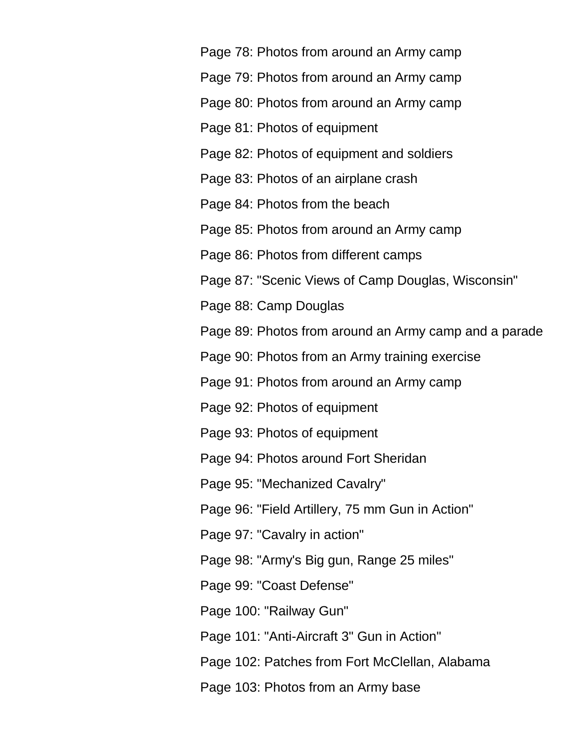Page 78: Photos from around an Army camp Page 79: Photos from around an Army camp Page 80: Photos from around an Army camp Page 81: Photos of equipment Page 82: Photos of equipment and soldiers Page 83: Photos of an airplane crash Page 84: Photos from the beach Page 85: Photos from around an Army camp Page 86: Photos from different camps Page 87: "Scenic Views of Camp Douglas, Wisconsin" Page 88: Camp Douglas Page 89: Photos from around an Army camp and a parade Page 90: Photos from an Army training exercise Page 91: Photos from around an Army camp Page 92: Photos of equipment Page 93: Photos of equipment Page 94: Photos around Fort Sheridan Page 95: "Mechanized Cavalry" Page 96: "Field Artillery, 75 mm Gun in Action" Page 97: "Cavalry in action" Page 98: "Army's Big gun, Range 25 miles" Page 99: "Coast Defense" Page 100: "Railway Gun" Page 101: "Anti-Aircraft 3" Gun in Action" Page 102: Patches from Fort McClellan, Alabama Page 103: Photos from an Army base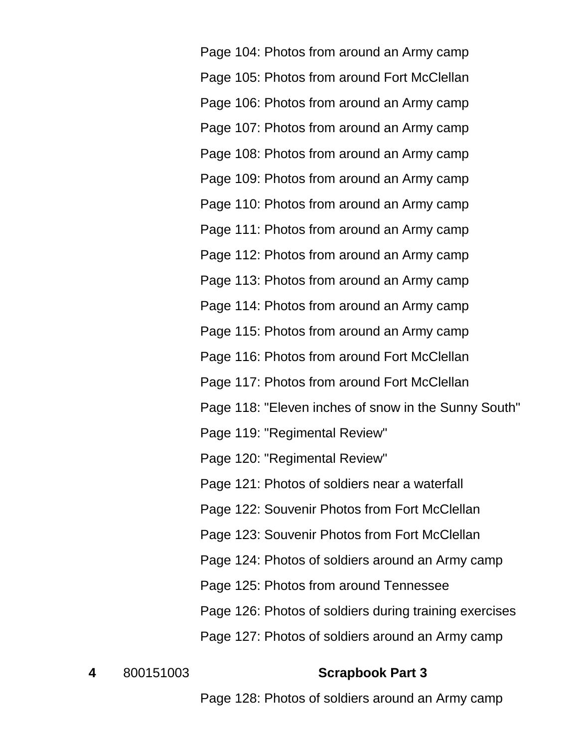Page 104: Photos from around an Army camp Page 105: Photos from around Fort McClellan Page 106: Photos from around an Army camp Page 107: Photos from around an Army camp Page 108: Photos from around an Army camp Page 109: Photos from around an Army camp Page 110: Photos from around an Army camp Page 111: Photos from around an Army camp Page 112: Photos from around an Army camp Page 113: Photos from around an Army camp Page 114: Photos from around an Army camp Page 115: Photos from around an Army camp Page 116: Photos from around Fort McClellan Page 117: Photos from around Fort McClellan Page 118: "Eleven inches of snow in the Sunny South" Page 119: "Regimental Review" Page 120: "Regimental Review" Page 121: Photos of soldiers near a waterfall Page 122: Souvenir Photos from Fort McClellan Page 123: Souvenir Photos from Fort McClellan Page 124: Photos of soldiers around an Army camp Page 125: Photos from around Tennessee Page 126: Photos of soldiers during training exercises Page 127: Photos of soldiers around an Army camp

#### **4** 800151003 **Scrapbook Part 3**

Page 128: Photos of soldiers around an Army camp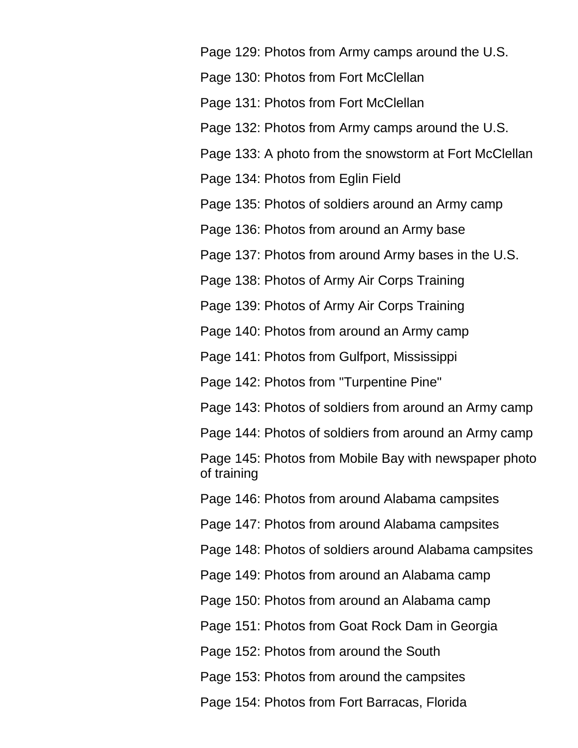Page 129: Photos from Army camps around the U.S.

Page 130: Photos from Fort McClellan

Page 131: Photos from Fort McClellan

Page 132: Photos from Army camps around the U.S.

Page 133: A photo from the snowstorm at Fort McClellan

Page 134: Photos from Eglin Field

Page 135: Photos of soldiers around an Army camp

Page 136: Photos from around an Army base

Page 137: Photos from around Army bases in the U.S.

Page 138: Photos of Army Air Corps Training

Page 139: Photos of Army Air Corps Training

Page 140: Photos from around an Army camp

Page 141: Photos from Gulfport, Mississippi

Page 142: Photos from "Turpentine Pine"

Page 143: Photos of soldiers from around an Army camp

Page 144: Photos of soldiers from around an Army camp

Page 145: Photos from Mobile Bay with newspaper photo of training

Page 146: Photos from around Alabama campsites

Page 147: Photos from around Alabama campsites

Page 148: Photos of soldiers around Alabama campsites

Page 149: Photos from around an Alabama camp

Page 150: Photos from around an Alabama camp

Page 151: Photos from Goat Rock Dam in Georgia

Page 152: Photos from around the South

Page 153: Photos from around the campsites

Page 154: Photos from Fort Barracas, Florida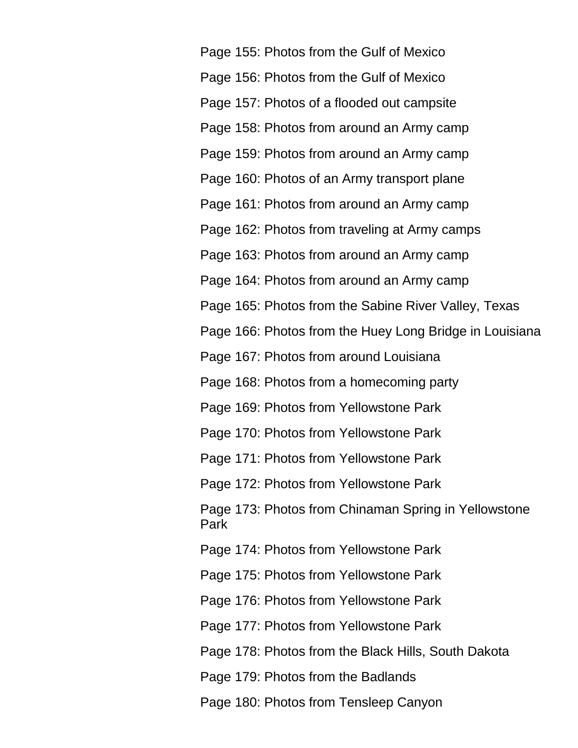Page 155: Photos from the Gulf of Mexico Page 156: Photos from the Gulf of Mexico Page 157: Photos of a flooded out campsite Page 158: Photos from around an Army camp Page 159: Photos from around an Army camp Page 160: Photos of an Army transport plane Page 161: Photos from around an Army camp Page 162: Photos from traveling at Army camps Page 163: Photos from around an Army camp Page 164: Photos from around an Army camp Page 165: Photos from the Sabine River Valley, Texas Page 166: Photos from the Huey Long Bridge in Louisiana Page 167: Photos from around Louisiana Page 168: Photos from a homecoming party Page 169: Photos from Yellowstone Park Page 170: Photos from Yellowstone Park Page 171: Photos from Yellowstone Park Page 172: Photos from Yellowstone Park Page 173: Photos from Chinaman Spring in Yellowstone Park Page 174: Photos from Yellowstone Park Page 175: Photos from Yellowstone Park Page 176: Photos from Yellowstone Park Page 177: Photos from Yellowstone Park Page 178: Photos from the Black Hills, South Dakota Page 179: Photos from the Badlands Page 180: Photos from Tensleep Canyon